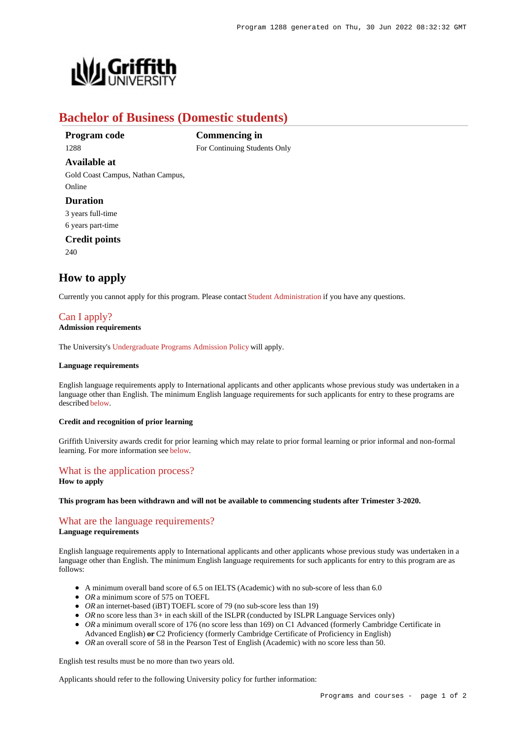

# **Bachelor of Business (Domestic students)**

**Program code** 1288

**Available at**

**Commencing in** For Continuing Students Only

Gold Coast Campus, Nathan Campus, Online

# **Duration**

3 years full-time

6 years part-time

**Credit points**

240

# **How to apply**

Currently you cannot apply for this program. Please contact [Student Administration](https://www.griffith.edu.au/student-administration) if you have any questions.

# [Can I apply?](https://www148.griffith.edu.au/programs-courses/Program/1288/HowToApply/Domestic#can-i-apply)

# **Admission requirements**

The University's [Undergraduate Programs Admission Policy](https://sharepointpubstor.blob.core.windows.net/policylibrary-prod/Undergraduate Programs Admission Policy.pdf) will apply.

### **Language requirements**

English language requirements apply to International applicants and other applicants whose previous study was undertaken in a language other than English. The minimum English language requirements for such applicants for entry to these programs are described [below](https://www148.griffith.edu.au/programs-courses/Program/1288/HowToApply/Domestic#language).

### **Credit and recognition of prior learning**

Griffith University awards credit for prior learning which may relate to prior formal learning or prior informal and non-formal learning. For more information see [below](https://www148.griffith.edu.au/programs-courses/Program/1288/HowToApply/Domestic#credit).

# [What is the application process?](https://www148.griffith.edu.au/programs-courses/Program/1288/HowToApply/Domestic#process)

**How to apply**

#### **This program has been withdrawn and will not be available to commencing students after Trimester 3-2020.**

# [What are the language requirements?](https://www148.griffith.edu.au/programs-courses/Program/1288/HowToApply/Domestic#language)

### **Language requirements**

English language requirements apply to International applicants and other applicants whose previous study was undertaken in a language other than English. The minimum English language requirements for such applicants for entry to this program are as follows:

- A minimum overall band score of 6.5 on IELTS (Academic) with no sub-score of less than 6.0
- OR a minimum score of 575 on TOEFL
- *OR* an internet-based (iBT) TOEFL score of 79 (no sub-score less than 19)
- OR no score less than 3+ in each skill of the ISLPR (conducted by ISLPR Language Services only)
- OR a minimum overall score of 176 (no score less than 169) on C1 Advanced (formerly Cambridge Certificate in Advanced English) **or** C2 Proficiency (formerly Cambridge Certificate of Proficiency in English)
- OR an overall score of 58 in the Pearson Test of English (Academic) with no score less than 50.

English test results must be no more than two years old.

Applicants should refer to the following University policy for further information: